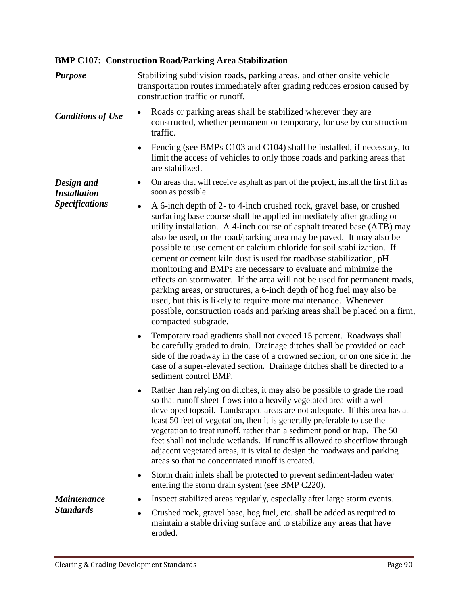## **BMP C107: Construction Road/Parking Area Stabilization**

| <b>Purpose</b>                         | Stabilizing subdivision roads, parking areas, and other onsite vehicle<br>transportation routes immediately after grading reduces erosion caused by<br>construction traffic or runoff.                                                                                                                                                                                                                                                                                                                                                                                                                                                                                                                                                                                                                                                               |
|----------------------------------------|------------------------------------------------------------------------------------------------------------------------------------------------------------------------------------------------------------------------------------------------------------------------------------------------------------------------------------------------------------------------------------------------------------------------------------------------------------------------------------------------------------------------------------------------------------------------------------------------------------------------------------------------------------------------------------------------------------------------------------------------------------------------------------------------------------------------------------------------------|
| <b>Conditions of Use</b>               | Roads or parking areas shall be stabilized wherever they are<br>constructed, whether permanent or temporary, for use by construction<br>traffic.                                                                                                                                                                                                                                                                                                                                                                                                                                                                                                                                                                                                                                                                                                     |
|                                        | Fencing (see BMPs C103 and C104) shall be installed, if necessary, to<br>$\bullet$<br>limit the access of vehicles to only those roads and parking areas that<br>are stabilized.                                                                                                                                                                                                                                                                                                                                                                                                                                                                                                                                                                                                                                                                     |
| Design and<br><b>Installation</b>      | On areas that will receive asphalt as part of the project, install the first lift as<br>$\bullet$<br>soon as possible.                                                                                                                                                                                                                                                                                                                                                                                                                                                                                                                                                                                                                                                                                                                               |
| <b>Specifications</b>                  | A 6-inch depth of 2- to 4-inch crushed rock, gravel base, or crushed<br>$\bullet$<br>surfacing base course shall be applied immediately after grading or<br>utility installation. A 4-inch course of asphalt treated base (ATB) may<br>also be used, or the road/parking area may be paved. It may also be<br>possible to use cement or calcium chloride for soil stabilization. If<br>cement or cement kiln dust is used for roadbase stabilization, pH<br>monitoring and BMPs are necessary to evaluate and minimize the<br>effects on stormwater. If the area will not be used for permanent roads,<br>parking areas, or structures, a 6-inch depth of hog fuel may also be<br>used, but this is likely to require more maintenance. Whenever<br>possible, construction roads and parking areas shall be placed on a firm,<br>compacted subgrade. |
|                                        | Temporary road gradients shall not exceed 15 percent. Roadways shall<br>$\bullet$<br>be carefully graded to drain. Drainage ditches shall be provided on each<br>side of the roadway in the case of a crowned section, or on one side in the<br>case of a super-elevated section. Drainage ditches shall be directed to a<br>sediment control BMP.                                                                                                                                                                                                                                                                                                                                                                                                                                                                                                   |
|                                        | Rather than relying on ditches, it may also be possible to grade the road<br>٠<br>so that runoff sheet-flows into a heavily vegetated area with a well-<br>developed topsoil. Landscaped areas are not adequate. If this area has at<br>least 50 feet of vegetation, then it is generally preferable to use the<br>vegetation to treat runoff, rather than a sediment pond or trap. The 50<br>feet shall not include wetlands. If runoff is allowed to sheetflow through<br>adjacent vegetated areas, it is vital to design the roadways and parking<br>areas so that no concentrated runoff is created.                                                                                                                                                                                                                                             |
|                                        | Storm drain inlets shall be protected to prevent sediment-laden water<br>٠<br>entering the storm drain system (see BMP C220).                                                                                                                                                                                                                                                                                                                                                                                                                                                                                                                                                                                                                                                                                                                        |
| <b>Maintenance</b><br><b>Standards</b> | Inspect stabilized areas regularly, especially after large storm events.                                                                                                                                                                                                                                                                                                                                                                                                                                                                                                                                                                                                                                                                                                                                                                             |
|                                        | Crushed rock, gravel base, hog fuel, etc. shall be added as required to<br>$\bullet$<br>maintain a stable driving surface and to stabilize any areas that have<br>eroded.                                                                                                                                                                                                                                                                                                                                                                                                                                                                                                                                                                                                                                                                            |